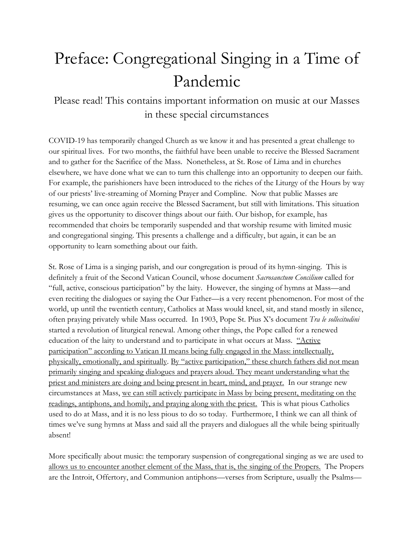# Preface: Congregational Singing in a Time of Pandemic

Please read! This contains important information on music at our Masses in these special circumstances

COVID-19 has temporarily changed Church as we know it and has presented a great challenge to our spiritual lives. For two months, the faithful have been unable to receive the Blessed Sacrament and to gather for the Sacrifice of the Mass. Nonetheless, at St. Rose of Lima and in churches elsewhere, we have done what we can to turn this challenge into an opportunity to deepen our faith. For example, the parishioners have been introduced to the riches of the Liturgy of the Hours by way of our priests' live-streaming of Morning Prayer and Compline. Now that public Masses are resuming, we can once again receive the Blessed Sacrament, but still with limitations. This situation gives us the opportunity to discover things about our faith. Our bishop, for example, has recommended that choirs be temporarily suspended and that worship resume with limited music and congregational singing. This presents a challenge and a difficulty, but again, it can be an opportunity to learn something about our faith.

St. Rose of Lima is a singing parish, and our congregation is proud of its hymn-singing. This is definitely a fruit of the Second Vatican Council, whose document *Sacrosanctum Concilium* called for "full, active, conscious participation" by the laity. However, the singing of hymns at Mass—and even reciting the dialogues or saying the Our Father—is a very recent phenomenon. For most of the world, up until the twentieth century, Catholics at Mass would kneel, sit, and stand mostly in silence, often praying privately while Mass occurred. In 1903, Pope St. Pius X's document *Tra le sollecitudini* started a revolution of liturgical renewal. Among other things, the Pope called for a renewed education of the laity to understand and to participate in what occurs at Mass. "Active participation" according to Vatican II means being fully engaged in the Mass: intellectually, physically, emotionally, and spiritually. By "active participation," these church fathers did not mean primarily singing and speaking dialogues and prayers aloud. They meant understanding what the priest and ministers are doing and being present in heart, mind, and prayer. In our strange new circumstances at Mass, we can still actively participate in Mass by being present, meditating on the readings, antiphons, and homily, and praying along with the priest. This is what pious Catholics used to do at Mass, and it is no less pious to do so today. Furthermore, I think we can all think of times we've sung hymns at Mass and said all the prayers and dialogues all the while being spiritually absent!

More specifically about music: the temporary suspension of congregational singing as we are used to allows us to encounter another element of the Mass, that is, the singing of the Propers. The Propers are the Introit, Offertory, and Communion antiphons—verses from Scripture, usually the Psalms—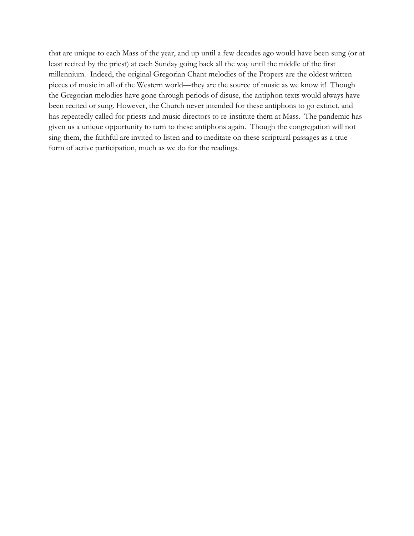that are unique to each Mass of the year, and up until a few decades ago would have been sung (or at least recited by the priest) at each Sunday going back all the way until the middle of the first millennium. Indeed, the original Gregorian Chant melodies of the Propers are the oldest written pieces of music in all of the Western world—they are the source of music as we know it! Though the Gregorian melodies have gone through periods of disuse, the antiphon texts would always have been recited or sung. However, the Church never intended for these antiphons to go extinct, and has repeatedly called for priests and music directors to re-institute them at Mass. The pandemic has given us a unique opportunity to turn to these antiphons again. Though the congregation will not sing them, the faithful are invited to listen and to meditate on these scriptural passages as a true form of active participation, much as we do for the readings.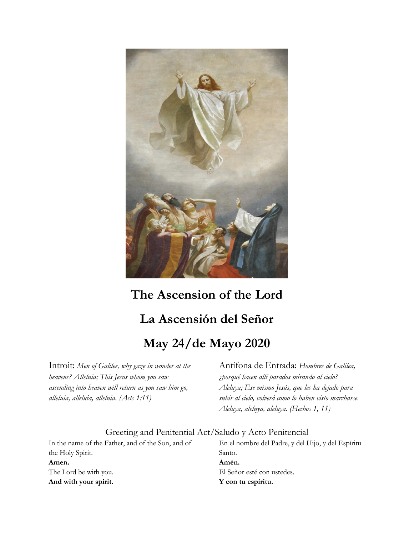

# **The Ascension of the Lord**

# **La Ascensión del Señor**

# **May 24/de Mayo 2020**

Introit: *Men of Galilee, why gaze in wonder at the heavens? Alleluia; This Jesus whom you saw ascending into heaven will return as you saw him go, alleluia, alleluia, alleluia. (Acts 1:11)*

Antífona de Entrada: *Hombres de Galilea, ¿porqué hacen allí parados mirando al cielo? Aleluya; Ese mismo Jesús, que les ha dejado para subir al cielo, volverá como lo haben visto marcharse. Aleluya, aleluya, aleluya. (Hechos 1, 11)*

Greeting and Penitential Act/Saludo y Acto Penitencial

| In the name of the Father, and of the Son, and of | En el nombre del Padre, y del Hijo, y del Espíritu |
|---------------------------------------------------|----------------------------------------------------|
| the Holy Spirit.                                  | Santo.                                             |
| Amen.                                             | Amén.                                              |
| The Lord be with you.                             | El Señor esté con ustedes.                         |
| And with your spirit.                             | Y con tu espíritu.                                 |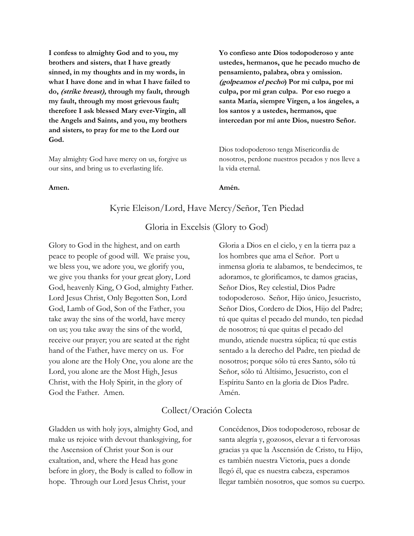**I confess to almighty God and to you, my brothers and sisters, that I have greatly sinned, in my thoughts and in my words, in what I have done and in what I have failed to do, (strike breast), through my fault, through my fault, through my most grievous fault; therefore I ask blessed Mary ever-Virgin, all the Angels and Saints, and you, my brothers and sisters, to pray for me to the Lord our God.**

May almighty God have mercy on us, forgive us our sins, and bring us to everlasting life.

**Amen.**

**Yo confieso ante Dios todopoderoso y ante ustedes, hermanos, que he pecado mucho de pensamiento, palabra, obra y omission. (golpeamos el pecho) Por mi culpa, por mi culpa, por mi gran culpa. Por eso ruego a santa María, siempre Virgen, a los ángeles, a los santos y a ustedes, hermanos, que intercedan por mí ante Dios, nuestro Señor.**

Dios todopoderoso tenga Misericordia de nosotros, perdone nuestros pecados y nos lleve a la vida eternal.

**Amén.**

# Kyrie Eleison/Lord, Have Mercy/Señor, Ten Piedad

#### Gloria in Excelsis (Glory to God)

Glory to God in the highest, and on earth peace to people of good will. We praise you, we bless you, we adore you, we glorify you, we give you thanks for your great glory, Lord God, heavenly King, O God, almighty Father. Lord Jesus Christ, Only Begotten Son, Lord God, Lamb of God, Son of the Father, you take away the sins of the world, have mercy on us; you take away the sins of the world, receive our prayer; you are seated at the right hand of the Father, have mercy on us. For you alone are the Holy One, you alone are the Lord, you alone are the Most High, Jesus Christ, with the Holy Spirit, in the glory of God the Father. Amen.

Gloria a Dios en el cielo, y en la tierra paz a los hombres que ama el Señor. Port u inmensa gloria te alabamos, te bendecimos, te adoramos, te glorificamos, te damos gracias, Señor Dios, Rey celestial, Dios Padre todopoderoso. Señor, Hijo único, Jesucristo, Señor Dios, Cordero de Dios, Hijo del Padre; tú que quitas el pecado del mundo, ten piedad de nosotros; tú que quitas el pecado del mundo, atiende nuestra súplica; tú que estás sentado a la derecho del Padre, ten piedad de nosotros; porque sólo tú eres Santo, sólo tú Señor, sólo tú Altísimo, Jesucristo, con el Espíritu Santo en la gloria de Dios Padre. Amén.

#### Collect/Oración Colecta

Gladden us with holy joys, almighty God, and make us rejoice with devout thanksgiving, for the Ascension of Christ your Son is our exaltation, and, where the Head has gone before in glory, the Body is called to follow in hope. Through our Lord Jesus Christ, your

Concédenos, Dios todopoderoso, rebosar de santa alegría y, gozosos, elevar a ti fervorosas gracias ya que la Ascensión de Cristo, tu Hijo, es también nuestra Victoria, pues a donde llegó él, que es nuestra cabeza, esperamos llegar también nosotros, que somos su cuerpo.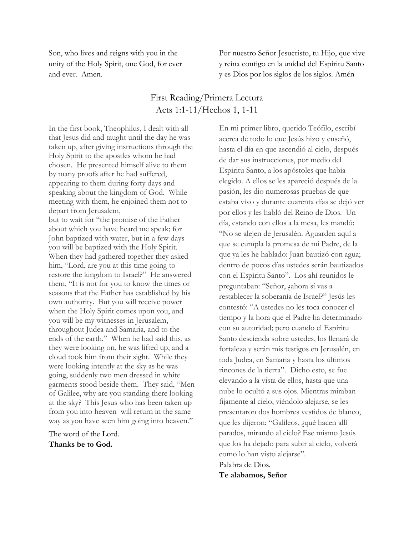Son, who lives and reigns with you in the unity of the Holy Spirit, one God, for ever and ever. Amen.

Por nuestro Señor Jesucristo, tu Hijo, que vive y reina contigo en la unidad del Espíritu Santo y es Dios por los siglos de los siglos. Amén

# First Reading/Primera Lectura Acts 1:1-11/Hechos 1, 1-11

In the first book, Theophilus, I dealt with all that Jesus did and taught until the day he was taken up, after giving instructions through the Holy Spirit to the apostles whom he had chosen. He presented himself alive to them by many proofs after he had suffered, appearing to them during forty days and speaking about the kingdom of God. While meeting with them, he enjoined them not to depart from Jerusalem, but to wait for "the promise of the Father about which you have heard me speak; for John baptized with water, but in a few days you will be baptized with the Holy Spirit. When they had gathered together they asked him, "Lord, are you at this time going to restore the kingdom to Israel?" He answered them, "It is not for you to know the times or seasons that the Father has established by his own authority. But you will receive power when the Holy Spirit comes upon you, and you will be my witnesses in Jerusalem, throughout Judea and Samaria, and to the ends of the earth." When he had said this, as they were looking on, he was lifted up, and a cloud took him from their sight. While they were looking intently at the sky as he was going, suddenly two men dressed in white

garments stood beside them. They said, "Men of Galilee, why are you standing there looking at the sky? This Jesus who has been taken up from you into heaven will return in the same way as you have seen him going into heaven."

The word of the Lord. **Thanks be to God.**

En mi primer libro, querido Teófilo, escribí acerca de todo lo que Jesús hizo y enseñó, hasta el día en que ascendió al cielo, después de dar sus instrucciones, por medio del Espíritu Santo, a los apóstoles que había elegido. A ellos se les apareció después de la pasión, les dio numerosas pruebas de que estaba vivo y durante cuarenta días se dejó ver por ellos y les habló del Reino de Dios. Un día, estando con ellos a la mesa, les mandó: "No se alejen de Jerusalén. Aguarden aquí a que se cumpla la promesa de mi Padre, de la que ya les he hablado: Juan bautizó con agua; dentro de pocos días ustedes serán bautizados con el Espíritu Santo". Los ahí reunidos le preguntaban: "Señor, ¿ahora sí vas a restablecer la soberanía de Israel?" Jesús les contestó: "A ustedes no les toca conocer el tiempo y la hora que el Padre ha determinado con su autoridad; pero cuando el Espíritu Santo descienda sobre ustedes, los llenará de fortaleza y serán mis testigos en Jerusalén, en toda Judea, en Samaria y hasta los últimos rincones de la tierra". Dicho esto, se fue elevando a la vista de ellos, hasta que una nube lo ocultó a sus ojos. Mientras miraban fijamente al cielo, viéndolo alejarse, se les presentaron dos hombres vestidos de blanco, que les dijeron: "Galileos, ¿qué hacen allí parados, mirando al cielo? Ese mismo Jesús que los ha dejado para subir al cielo, volverá como lo han visto alejarse". Palabra de Dios. **Te alabamos, Señor**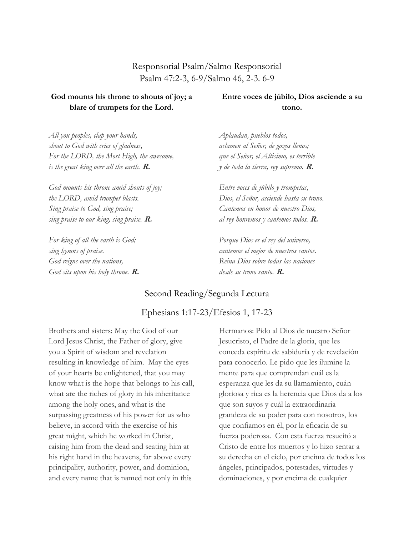# Responsorial Psalm/Salmo Responsorial Psalm 47:2-3, 6-9/Salmo 46, 2-3. 6-9

# **God mounts his throne to shouts of joy; a blare of trumpets for the Lord.**

*All you peoples, clap your hands, shout to God with cries of gladness, For the LORD, the Most High, the awesome, is the great king over all the earth.* **R.**

*God mounts his throne amid shouts of joy; the LORD, amid trumpet blasts. Sing praise to God, sing praise; sing praise to our king, sing praise.* **R.**

*For king of all the earth is God; sing hymns of praise. God reigns over the nations, God sits upon his holy throne.* **R.**

# **Entre voces de júbilo, Dios asciende a su trono.**

*Aplaudan, pueblos todos, aclamen al Señor, de gozos llenos; que el Señor, el Altisimo, es terrible y de toda la tierra, rey supremo.* **R.**

*Entre voces de júbilo y trompetas, Dios, el Señor, asciende hasta su trono. Cantemos en honor de nuestro Dios, al rey honremos y cantemos todos.* **R.**

*Porque Dios es el rey del universo, cantemos el mejor de nuestros cantos. Reina Dios sobre todas las naciones desde su trono santo.* **R.**

#### Second Reading/Segunda Lectura

#### Ephesians 1:17-23/Efesios 1, 17-23

Brothers and sisters: May the God of our Lord Jesus Christ, the Father of glory, give you a Spirit of wisdom and revelation resulting in knowledge of him. May the eyes of your hearts be enlightened, that you may know what is the hope that belongs to his call, what are the riches of glory in his inheritance among the holy ones, and what is the surpassing greatness of his power for us who believe, in accord with the exercise of his great might, which he worked in Christ, raising him from the dead and seating him at his right hand in the heavens, far above every principality, authority, power, and dominion, and every name that is named not only in this

Hermanos: Pido al Dios de nuestro Señor Jesucristo, el Padre de la gloria, que les conceda espíritu de sabiduría y de revelación para conocerlo. Le pido que les ilumine la mente para que comprendan cuál es la esperanza que les da su llamamiento, cuán gloriosa y rica es la herencia que Dios da a los que son suyos y cuál la extraordinaria grandeza de su poder para con nosotros, los que confiamos en él, por la eficacia de su fuerza poderosa. Con esta fuerza resucitó a Cristo de entre los muertos y lo hizo sentar a su derecha en el cielo, por encima de todos los ángeles, principados, potestades, virtudes y dominaciones, y por encima de cualquier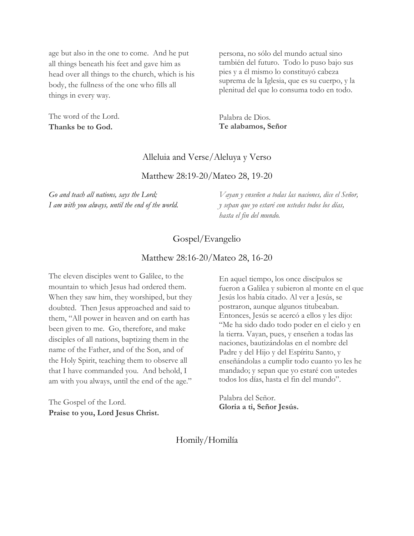age but also in the one to come. And he put all things beneath his feet and gave him as head over all things to the church, which is his body, the fullness of the one who fills all things in every way.

The word of the Lord. **Thanks be to God.**

persona, no sólo del mundo actual sino también del futuro. Todo lo puso bajo sus pies y a él mismo lo constituyó cabeza suprema de la Iglesia, que es su cuerpo, y la plenitud del que lo consuma todo en todo.

Palabra de Dios. **Te alabamos, Señor**

#### Alleluia and Verse/Aleluya y Verso

#### Matthew 28:19-20/Mateo 28, 19-20

*Go and teach all nations, says the Lord; I am with you always, until the end of the world.*

*Vayan y enseñen a todas las naciones, dice el Señor, y sepan que yo estaré con ustedes todos los días, hasta el fin del mundo.*

#### Gospel/Evangelio

#### Matthew 28:16-20/Mateo 28, 16-20

The eleven disciples went to Galilee, to the mountain to which Jesus had ordered them. When they saw him, they worshiped, but they doubted. Then Jesus approached and said to them, "All power in heaven and on earth has been given to me. Go, therefore, and make disciples of all nations, baptizing them in the name of the Father, and of the Son, and of the Holy Spirit, teaching them to observe all that I have commanded you. And behold, I am with you always, until the end of the age."

The Gospel of the Lord. **Praise to you, Lord Jesus Christ.**

En aquel tiempo, los once discípulos se fueron a Galilea y subieron al monte en el que Jesús los había citado. Al ver a Jesús, se postraron, aunque algunos titubeaban. Entonces, Jesús se acercó a ellos y les dijo: "Me ha sido dado todo poder en el cielo y en la tierra. Vayan, pues, y enseñen a todas las naciones, bautizándolas en el nombre del Padre y del Hijo y del Espíritu Santo, y enseñándolas a cumplir todo cuanto yo les he mandado; y sepan que yo estaré con ustedes todos los días, hasta el fin del mundo".

Palabra del Señor. **Gloria a ti, Señor Jesús.**

#### Homily/Homilía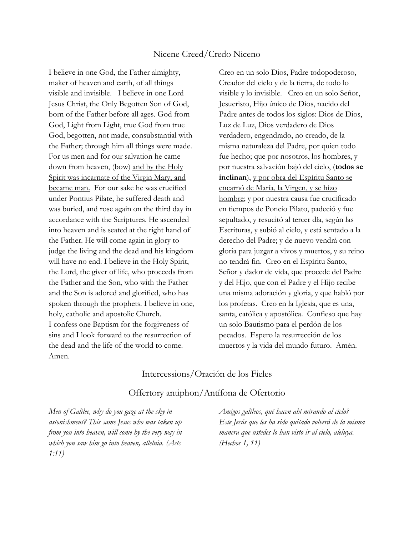I believe in one God, the Father almighty, maker of heaven and earth, of all things visible and invisible. I believe in one Lord Jesus Christ, the Only Begotten Son of God, born of the Father before all ages. God from God, Light from Light, true God from true God, begotten, not made, consubstantial with the Father; through him all things were made. For us men and for our salvation he came down from heaven, (bow) and by the Holy Spirit was incarnate of the Virgin Mary, and became man. For our sake he was crucified under Pontius Pilate, he suffered death and was buried, and rose again on the third day in accordance with the Scriptures. He ascended into heaven and is seated at the right hand of the Father. He will come again in glory to judge the living and the dead and his kingdom will have no end. I believe in the Holy Spirit, the Lord, the giver of life, who proceeds from the Father and the Son, who with the Father and the Son is adored and glorified, who has spoken through the prophets. I believe in one, holy, catholic and apostolic Church. I confess one Baptism for the forgiveness of sins and I look forward to the resurrection of the dead and the life of the world to come. Amen.

Creo en un solo Dios, Padre todopoderoso, Creador del cielo y de la tierra, de todo lo visible y lo invisible. Creo en un solo Señor, Jesucristo, Hijo único de Dios, nacido del Padre antes de todos los siglos: Dios de Dios, Luz de Luz, Dios verdadero de Dios verdadero, engendrado, no creado, de la misma naturaleza del Padre, por quien todo fue hecho; que por nosotros, los hombres, y por nuestra salvación bajó del cielo, (**todos se inclinan**), y por obra del Espíritu Santo se encarnó de María, la Virgen, y se hizo hombre; y por nuestra causa fue crucificado en tiempos de Poncio Pilato, padeció y fue sepultado, y resucitó al tercer día, según las Escrituras, y subió al cielo, y está sentado a la derecho del Padre; y de nuevo vendrá con gloria para juzgar a vivos y muertos, y su reino no tendrá fin. Creo en el Espíritu Santo, Señor y dador de vida, que procede del Padre y del Hijo, que con el Padre y el Hijo recibe una misma adoración y gloria, y que habló por los profetas. Creo en la Iglesia, que es una, santa, católica y apostólica. Confieso que hay un solo Bautismo para el perdón de los pecados. Espero la resurrección de los muertos y la vida del mundo futuro. Amén.

#### Intercessions/Oración de los Fieles

#### Offertory antiphon/Antífona de Ofertorio

*Men of Galilee, why do you gaze at the sky in astonishment? This same Jesus who was taken up from you into heaven, will come by the very way in which you saw him go into heaven, alleluia. (Acts 1:11)*

*Amigos galileos, qué hacen ahí mirando al cielo? Este Jesús que les ha sido quitado volverá de la misma manera que ustedes lo han visto ir al cielo, aleluya. (Hechos 1, 11)*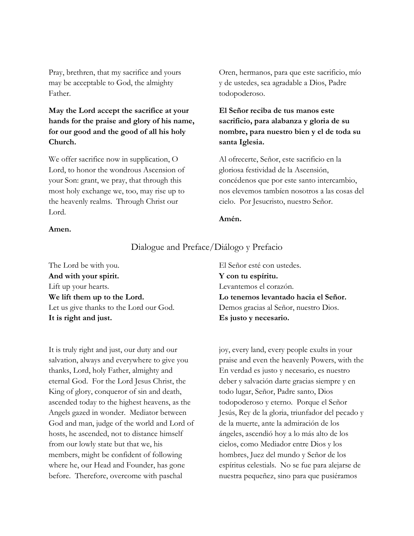Pray, brethren, that my sacrifice and yours may be acceptable to God, the almighty Father.

## **May the Lord accept the sacrifice at your hands for the praise and glory of his name, for our good and the good of all his holy Church.**

We offer sacrifice now in supplication, O Lord, to honor the wondrous Ascension of your Son: grant, we pray, that through this most holy exchange we, too, may rise up to the heavenly realms. Through Christ our Lord.

Oren, hermanos, para que este sacrificio, mío y de ustedes, sea agradable a Dios, Padre todopoderoso.

# **El Señor reciba de tus manos este sacrificio, para alabanza y gloria de su nombre, para nuestro bien y el de toda su santa Iglesia.**

Al ofrecerte, Señor, este sacrificio en la gloriosa festividad de la Ascensión, concédenos que por este santo intercambio, nos elevemos tambíen nosotros a las cosas del cielo. Por Jesucristo, nuestro Señor.

**Amén.**

#### **Amen.**

# Dialogue and Preface/Diálogo y Prefacio

The Lord be with you. **And with your spirit.** Lift up your hearts. **We lift them up to the Lord.** Let us give thanks to the Lord our God. **It is right and just.**

It is truly right and just, our duty and our salvation, always and everywhere to give you thanks, Lord, holy Father, almighty and eternal God. For the Lord Jesus Christ, the King of glory, conqueror of sin and death, ascended today to the highest heavens, as the Angels gazed in wonder. Mediator between God and man, judge of the world and Lord of hosts, he ascended, not to distance himself from our lowly state but that we, his members, might be confident of following where he, our Head and Founder, has gone before. Therefore, overcome with paschal

El Señor esté con ustedes. **Y con tu espíritu.** Levantemos el corazón. **Lo tenemos levantado hacia el Señor.** Demos gracias al Señor, nuestro Dios. **Es justo y necesario.**

joy, every land, every people exults in your praise and even the heavenly Powers, with the En verdad es justo y necesario, es nuestro deber y salvación darte gracias siempre y en todo lugar, Señor, Padre santo, Dios todopoderoso y eterno. Porque el Señor Jesús, Rey de la gloria, triunfador del pecado y de la muerte, ante la admiración de los ángeles, ascendió hoy a lo más alto de los cielos, como Mediador entre Dios y los hombres, Juez del mundo y Señor de los espíritus celestials. No se fue para alejarse de nuestra pequeñez, sino para que pusiéramos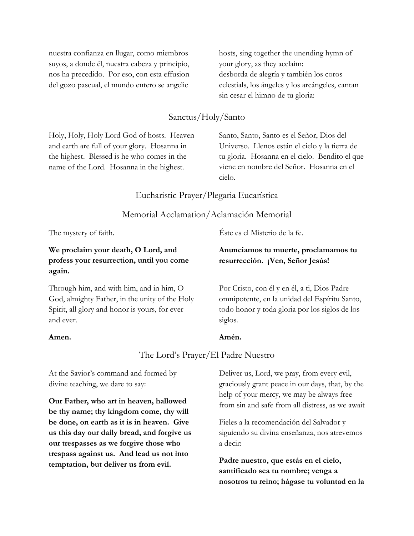nuestra confianza en llugar, como miembros suyos, a donde él, nuestra cabeza y principio, nos ha precedido. Por eso, con esta effusion del gozo pascual, el mundo entero se angelic

hosts, sing together the unending hymn of your glory, as they acclaim: desborda de alegría y también los coros celestials, los ángeles y los arcángeles, cantan sin cesar el himno de tu gloria:

# Sanctus/Holy/Santo

Holy, Holy, Holy Lord God of hosts. Heaven and earth are full of your glory. Hosanna in the highest. Blessed is he who comes in the name of the Lord. Hosanna in the highest.

Santo, Santo, Santo es el Señor, Dios del Universo. Llenos están el cielo y la tierra de tu gloria. Hosanna en el cielo. Bendito el que viene en nombre del Señor. Hosanna en el cielo.

# Eucharistic Prayer/Plegaria Eucarística

#### Memorial Acclamation/Aclamación Memorial

The mystery of faith. **We proclaim your death, O Lord, and profess your resurrection, until you come again.** Éste es el Misterio de la fe. **Anunciamos tu muerte, proclamamos tu resurrección. ¡Ven, Señor Jesús!** Through him, and with him, and in him, O God, almighty Father, in the unity of the Holy Spirit, all glory and honor is yours, for ever and ever. Por Cristo, con él y en él, a ti, Dios Padre omnipotente, en la unidad del Espíritu Santo, todo honor y toda gloria por los siglos de los siglos.

#### **Amen.**

#### **Amén.**

#### The Lord's Prayer/El Padre Nuestro

At the Savior's command and formed by divine teaching, we dare to say:

**Our Father, who art in heaven, hallowed be thy name; thy kingdom come, thy will be done, on earth as it is in heaven. Give us this day our daily bread, and forgive us our trespasses as we forgive those who trespass against us. And lead us not into temptation, but deliver us from evil.**

Deliver us, Lord, we pray, from every evil, graciously grant peace in our days, that, by the help of your mercy, we may be always free from sin and safe from all distress, as we await

Fieles a la recomendación del Salvador y siguiendo su divina enseñanza, nos atrevemos a decir:

**Padre nuestro, que estás en el cielo, santificado sea tu nombre; venga a nosotros tu reino; hágase tu voluntad en la**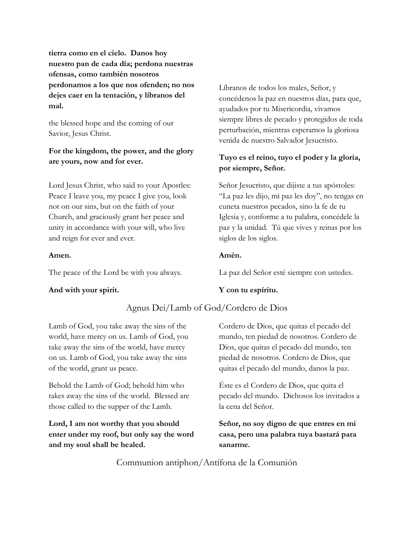**tierra como en el cielo. Danos hoy nuestro pan de cada día; perdona nuestras ofensas, como también nosotros perdonamos a los que nos ofenden; no nos dejes caer en la tentación, y líbranos del mal.**

the blessed hope and the coming of our Savior, Jesus Christ.

# **For the kingdom, the power, and the glory are yours, now and for ever.**

Lord Jesus Christ, who said to your Apostles: Peace I leave you, my peace I give you, look not on our sins, but on the faith of your Church, and graciously grant her peace and unity in accordance with your will, who live and reign for ever and ever.

#### **Amen.**

The peace of the Lord be with you always.

#### **And with your spirit.**

Líbranos de todos los males, Señor, y concédenos la paz en nuestros días, para que, ayudados por tu Misericordia, vivamos siempre libres de pecado y protegidos de toda perturbación, mientras esperamos la gloriosa venida de nuestro Salvador Jesucristo.

# **Tuyo es el reino, tuyo el poder y la gloria, por siempre, Señor.**

Señor Jesucristo, que dijiste a tus apóstoles: "La paz les dijo, mi paz les doy", no tengas en cuneta nuestros pecados, sino la fe de tu Iglesia y, conforme a tu palabra, concédele la paz y la unidad. Tú que vives y reinas por los siglos de los siglos.

#### **Amén.**

La paz del Señor esté siempre con ustedes.

#### **Y con tu espíritu.**

# Agnus Dei/Lamb of God/Cordero de Dios

Lamb of God, you take away the sins of the world, have mercy on us. Lamb of God, you take away the sins of the world, have mercy on us. Lamb of God, you take away the sins of the world, grant us peace.

Behold the Lamb of God; behold him who takes away the sins of the world. Blessed are those called to the supper of the Lamb.

**Lord, I am not worthy that you should enter under my roof, but only say the word and my soul shall be healed.**

Cordero de Dios, que quitas el pecado del mundo, ten piedad de nosotros. Cordero de Dios, que quitas el pecado del mundo, ten piedad de nosotros. Cordero de Dios, que quitas el pecado del mundo, danos la paz.

Éste es el Cordero de Dios, que quita el pecado del mundo. Dichosos los invitados a la cena del Señor.

**Señor, no soy digno de que entres en mi casa, pero una palabra tuya bastará para sanarme.**

Communion antiphon/Antífona de la Comunión